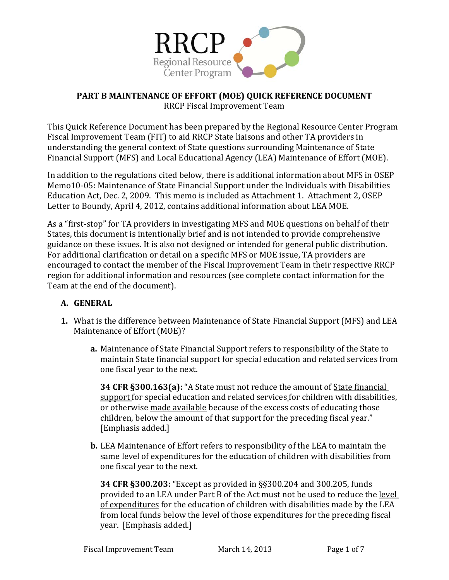

## **PART B MAINTENANCE OF EFFORT (MOE) QUICK REFERENCE DOCUMENT** RRCP Fiscal Improvement Team

This Quick Reference Document has been prepared by the Regional Resource Center Program Fiscal Improvement Team (FIT) to aid RRCP State liaisons and other TA providers in understanding the general context of State questions surrounding Maintenance of State Financial Support (MFS) and Local Educational Agency (LEA) Maintenance of Effort (MOE).

In addition to the regulations cited below, there is additional information about MFS in OSEP Memo10‐05: Maintenance of State Financial Support under the Individuals with Disabilities Education Act, Dec. 2, 2009. This memo is included as Attachment 1. Attachment 2, OSEP Letter to Boundy, April 4, 2012, contains additional information about LEA MOE.

As a "first‐stop" for TA providers in investigating MFS and MOE questions on behalf of their States, this document is intentionally brief and is not intended to provide comprehensive guidance on these issues. It is also not designed or intended for general public distribution. For additional clarification or detail on a specific MFS or MOE issue, TA providers are encouraged to contact the member of the Fiscal Improvement Team in their respective RRCP region for additional information and resources (see complete contact information for the Team at the end of the document).

## **A. GENERAL**

- **1.** What is the difference between Maintenance of State Financial Support (MFS) and LEA Maintenance of Effort (MOE)?
	- **a.** Maintenance of State Financial Support refers to responsibility of the State to maintain State financial support for special education and related services from one fiscal year to the next.

**34 CFR §300.163(a):** "A State must not reduce the amount of State financial support for special education and related services for children with disabilities, or otherwise made available because of the excess costs of educating those children, below the amount of that support for the preceding fiscal year." [Emphasis added.]

**b.** LEA Maintenance of Effort refers to responsibility of the LEA to maintain the same level of expenditures for the education of children with disabilities from one fiscal year to the next.

**34 CFR §300.203:** "Except as provided in §§300.204 and 300.205, funds provided to an LEA under Part B of the Act must not be used to reduce the level of expenditures for the education of children with disabilities made by the LEA from local funds below the level of those expenditures for the preceding fiscal year. [Emphasis added.]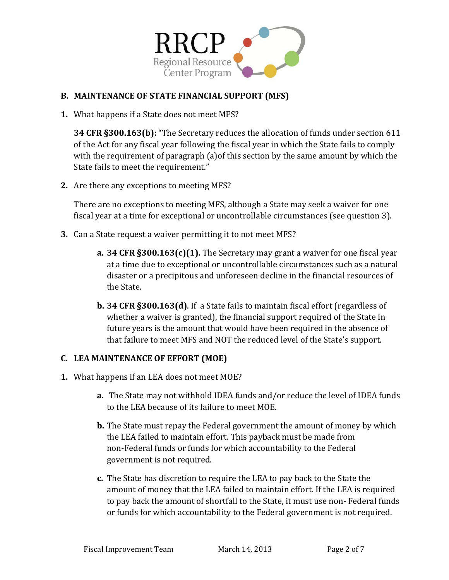

# **B. MAINTENANCE OF STATE FINANCIAL SUPPORT (MFS)**

**1.** What happens if a State does not meet MFS?

**34 CFR §300.163(b):** "The Secretary reduces the allocation of funds under section 611 of the Act for any fiscal year following the fiscal year in which the State fails to comply with the requirement of paragraph (a)of this section by the same amount by which the State fails to meet the requirement."

**2.** Are there any exceptions to meeting MFS?

There are no exceptions to meeting MFS, although a State may seek a waiver for one fiscal year at a time for exceptional or uncontrollable circumstances (see question 3).

- **3.** Can a State request a waiver permitting it to not meet MFS?
	- **a. 34 CFR §300.163(c)(1).** The Secretary may grant a waiver for one fiscal year at a time due to exceptional or uncontrollable circumstances such as a natural disaster or a precipitous and unforeseen decline in the financial resources of the State.
	- **b. 34 CFR §300.163(d)**. If a State fails to maintain fiscal effort (regardless of whether a waiver is granted), the financial support required of the State in future years is the amount that would have been required in the absence of that failure to meet MFS and NOT the reduced level of the State's support.

## **C. LEA MAINTENANCE OF EFFORT (MOE)**

- **1.** What happens if an LEA does not meet MOE?
	- **a.** The State may not withhold IDEA funds and/or reduce the level of IDEA funds to the LEA because of its failure to meet MOE.
	- **b.** The State must repay the Federal government the amount of money by which the LEA failed to maintain effort. This payback must be made from non‐Federal funds or funds for which accountability to the Federal government is not required.
	- **c.** The State has discretion to require the LEA to pay back to the State the amount of money that the LEA failed to maintain effort. If the LEA is required to pay back the amount of shortfall to the State, it must use non‐ Federal funds or funds for which accountability to the Federal government is not required.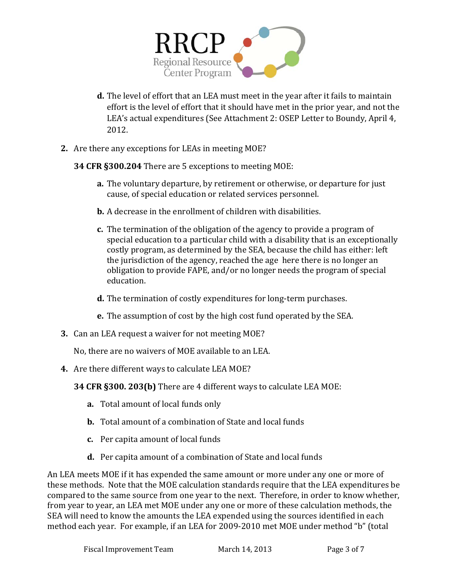

- **d.** The level of effort that an LEA must meet in the year after it fails to maintain effort is the level of effort that it should have met in the prior year, and not the LEA's actual expenditures (See Attachment 2: OSEP Letter to Boundy, April 4, 2012.
- **2.** Are there any exceptions for LEAs in meeting MOE?

**34 CFR §300.204** There are 5 exceptions to meeting MOE:

- **a.** The voluntary departure, by retirement or otherwise, or departure for just cause, of special education or related services personnel.
- **b.** A decrease in the enrollment of children with disabilities.
- **c.** The termination of the obligation of the agency to provide a program of special education to a particular child with a disability that is an exceptionally costly program, as determined by the SEA, because the child has either: left the jurisdiction of the agency, reached the age here there is no longer an obligation to provide FAPE, and/or no longer needs the program of special education.
- **d.** The termination of costly expenditures for long-term purchases.
- **e.** The assumption of cost by the high cost fund operated by the SEA.
- **3.** Can an LEA request a waiver for not meeting MOE?

No, there are no waivers of MOE available to an LEA.

**4.** Are there different ways to calculate LEA MOE?

**34 CFR §300. 203(b)** There are 4 different ways to calculate LEA MOE:

- **a.** Total amount of local funds only
- **b.** Total amount of a combination of State and local funds
- **c.** Per capita amount of local funds
- **d.** Per capita amount of a combination of State and local funds

An LEA meets MOE if it has expended the same amount or more under any one or more of these methods. Note that the MOE calculation standards require that the LEA expenditures be compared to the same source from one year to the next. Therefore, in order to know whether, from year to year, an LEA met MOE under any one or more of these calculation methods, the SEA will need to know the amounts the LEA expended using the sources identified in each method each year. For example, if an LEA for 2009‐2010 met MOE under method "b" (total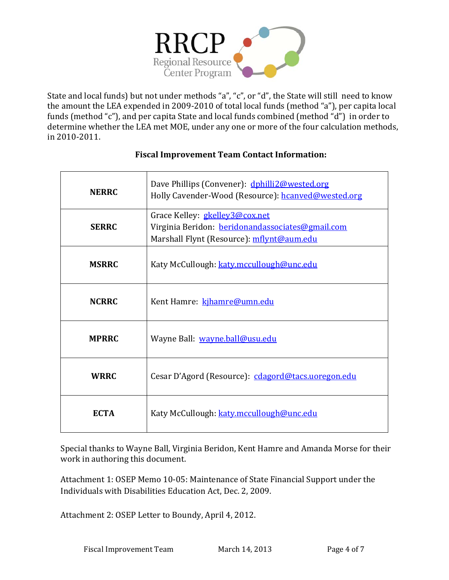

State and local funds) but not under methods "a", "c", or "d", the State will still need to know the amount the LEA expended in 2009‐2010 of total local funds (method "a"), per capita local funds (method "c"), and per capita State and local funds combined (method "d") in order to determine whether the LEA met MOE, under any one or more of the four calculation methods, in 2010‐2011.

| <b>NERRC</b> | Dave Phillips (Convener): dphilli2@wested.org<br>Holly Cavender-Wood (Resource): hcanved@wested.org                             |
|--------------|---------------------------------------------------------------------------------------------------------------------------------|
| <b>SERRC</b> | Grace Kelley: gkelley3@cox.net<br>Virginia Beridon: beridonandassociates@gmail.com<br>Marshall Flynt (Resource): mflynt@aum.edu |
| <b>MSRRC</b> | Katy McCullough: katy.mccullough@unc.edu                                                                                        |
| <b>NCRRC</b> | Kent Hamre: kihamre@umn.edu                                                                                                     |
| <b>MPRRC</b> | Wayne Ball: wayne.ball@usu.edu                                                                                                  |
| <b>WRRC</b>  | Cesar D'Agord (Resource): cdagord@tacs.uoregon.edu                                                                              |
| <b>ECTA</b>  | Katy McCullough: katy.mccullough@unc.edu                                                                                        |

# **Fiscal Improvement Team Contact Information:**

Special thanks to Wayne Ball, Virginia Beridon, Kent Hamre and Amanda Morse for their work in authoring this document.

Attachment 1: OSEP Memo 10‐05: Maintenance of State Financial Support under the Individuals with Disabilities Education Act, Dec. 2, 2009.

Attachment 2: OSEP Letter to Boundy, April 4, 2012.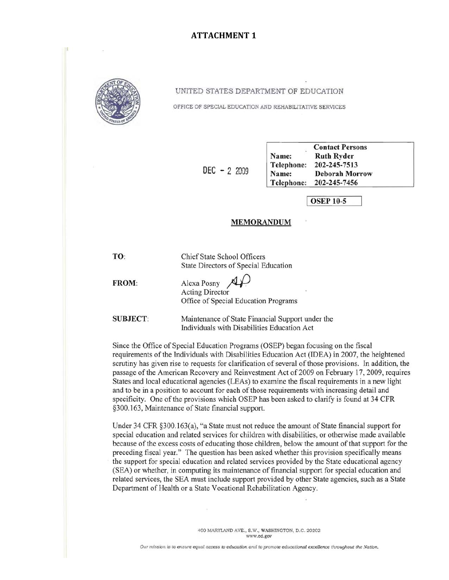

UNITED STATES DEPARTMENT OF EDUCATION

OFFICE OF SPECIAL EDUCATION AND REHABILITATIVE SERVICES

 $DEC - 2, 2009$ 

**Contact Persons** Name: **Ruth Ryder** Telephone: 202-245-7513 Name: **Deborah Morrow** Telephone: 202-245-7456

**OSEP 10-5** 

### **MEMORANDUM**

| TO:             | Chief State School Officers                      |
|-----------------|--------------------------------------------------|
|                 | State Directors of Special Education             |
| <b>FROM:</b>    | Alexa Posny $\mathcal{A} \mathcal{L}$            |
|                 | $\alpha$<br><b>Acting Director</b>               |
|                 | Office of Special Education Programs             |
| <b>SUBJECT:</b> | Maintenance of State Financial Support under the |
|                 | Individuals with Disabilities Education Act      |

Since the Office of Special Education Programs (OSEP) began focusing on the fiscal requirements of the Individuals with Disabilities Education Act (IDEA) in 2007, the heightened scrutiny has given rise to requests for clarification of several of those provisions. In addition, the passage of the American Recovery and Reinvestment Act of 2009 on February 17, 2009, requires States and local educational agencies (LEAs) to examine the fiscal requirements in a new light and to be in a position to account for each of those requirements with increasing detail and specificity. One of the provisions which OSEP has been asked to clarify is found at 34 CFR §300.163, Maintenance of State financial support.

Under 34 CFR  $\S 300.163(a)$ , "a State must not reduce the amount of State financial support for special education and related services for children with disabilities, or otherwise made available because of the excess costs of educating those children, below the amount of that support for the preceding fiscal year." The question has been asked whether this provision specifically means the support for special education and related services provided by the State educational agency (SEA) or whether, in computing its maintenance of financial support for special education and related services, the SEA must include support provided by other State agencies, such as a State Department of Health or a State Vocational Rehabilitation Agency.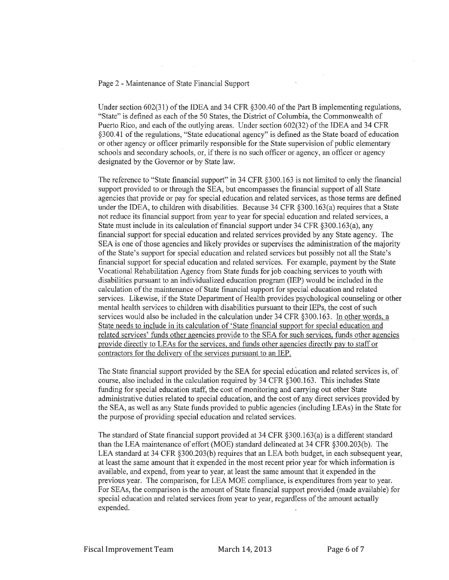#### Page 2 - Maintenance of State Financial Support

Under section  $602(31)$  of the IDEA and 34 CFR  $\S 300.40$  of the Part B implementing regulations, "State" is defined as each of the 50 States, the District of Columbia, the Commonwealth of Puerto Rico, and each of the outlying areas. Under section 602(32) of the IDEA and 34 CFR §300.41 of the regulations, "State educational agency" is defined as the State board of education or other agency or officer primarily responsible for the State supervision of public elementary schools and secondary schools, or, if there is no such officer or agency, an officer or agency designated by the Governor or by State law.

The reference to "State financial support" in 34 CFR §300.163 is not limited to only the financial support provided to or through the SEA, but encompasses the financial support of all State agencies that provide or pay for special education and related services, as those terms are defined under the IDEA, to children with disabilities. Because 34 CFR  $\S 300.163(a)$  requires that a State not reduce its financial support from year to year for special education and related services, a State must include in its calculation of financial support under 34 CFR §300.163(a), any financial support for special education and related services provided by any State agency. The SEA is one of those agencies and likely provides or supervises the administration of the majority of the State's support for special education and related services but possibly not all the State's financial support for special education and related services. For example, payment by the State Vocational Rehabilitation Agency from State funds for job coaching services to youth with disabilities pursuant to an individualized education program (IEP) would be included in the calculation of the maintenance of State financial support for special education and related services. Likewise, if the State Department of Health provides psychological counseling or other mental health services to children with disabilities pursuant to their IEPs, the cost of such services would also be included in the calculation under 34 CFR §300.163. In other words, a State needs to include in its calculation of 'State financial support for special education and related services' funds other agencies provide to the SEA for such services, funds other agencies provide directly to LEAs for the services, and funds other agencies directly pay to staff or contractors for the delivery of the services pursuant to an IEP.

The State financial support provided by the SEA for special education and related services is, of course, also included in the calculation required by 34 CFR §300.163. This includes State funding for special education staff, the cost of monitoring and carrying out other State administrative duties related to special education, and the cost of any direct services provided by the SEA, as well as any State funds provided to public agencies (including LEAs) in the State for the purpose of providing special education and related services.

The standard of State financial support provided at 34 CFR  $\S 300.163(a)$  is a different standard than the LEA maintenance of effort (MOE) standard delineated at 34 CFR §300.203(b). The LEA standard at 34 CFR §300.203(b) requires that an LEA both budget, in each subsequent year, at least the same amount that it expended in the most recent prior year for which information is available, and expend, from year to year, at least the same amount that it expended in the previous year. The comparison, for LEA MOE compliance, is expenditures from year to year. For SEAs, the comparison is the amount of State financial support provided (made available) for special education and related services from year to year, regardless of the amount actually expended.